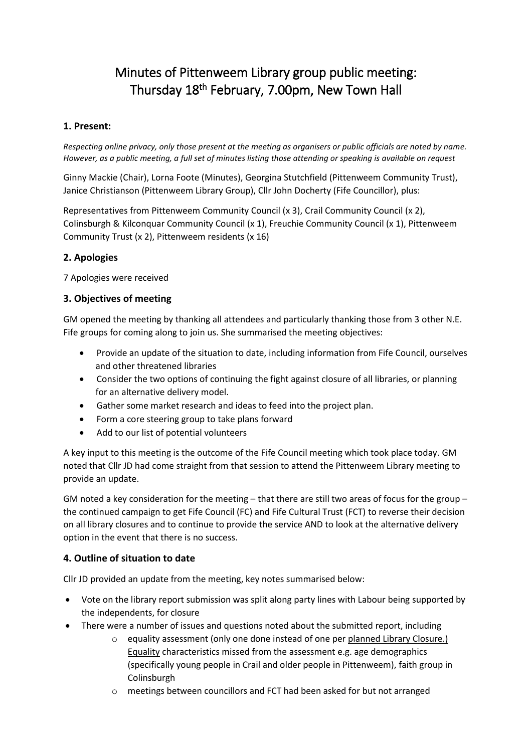# Minutes of Pittenweem Library group public meeting: Thursday 18<sup>th</sup> February, 7.00pm, New Town Hall

## **1. Present:**

*Respecting online privacy, only those present at the meeting as organisers or public officials are noted by name. However, as a public meeting, a full set of minutes listing those attending or speaking is available on request*

Ginny Mackie (Chair), Lorna Foote (Minutes), Georgina Stutchfield (Pittenweem Community Trust), Janice Christianson (Pittenweem Library Group), Cllr John Docherty (Fife Councillor), plus:

Representatives from Pittenweem Community Council (x 3), Crail Community Council (x 2), Colinsburgh & Kilconquar Community Council (x 1), Freuchie Community Council (x 1), Pittenweem Community Trust (x 2), Pittenweem residents (x 16)

## **2. Apologies**

7 Apologies were received

#### **3. Objectives of meeting**

GM opened the meeting by thanking all attendees and particularly thanking those from 3 other N.E. Fife groups for coming along to join us. She summarised the meeting objectives:

- Provide an update of the situation to date, including information from Fife Council, ourselves and other threatened libraries
- Consider the two options of continuing the fight against closure of all libraries, or planning for an alternative delivery model.
- Gather some market research and ideas to feed into the project plan.
- Form a core steering group to take plans forward
- Add to our list of potential volunteers

A key input to this meeting is the outcome of the Fife Council meeting which took place today. GM noted that Cllr JD had come straight from that session to attend the Pittenweem Library meeting to provide an update.

GM noted a key consideration for the meeting – that there are still two areas of focus for the group – the continued campaign to get Fife Council (FC) and Fife Cultural Trust (FCT) to reverse their decision on all library closures and to continue to provide the service AND to look at the alternative delivery option in the event that there is no success.

# **4. Outline of situation to date**

Cllr JD provided an update from the meeting, key notes summarised below:

- Vote on the library report submission was split along party lines with Labour being supported by the independents, for closure
- There were a number of issues and questions noted about the submitted report, including
	- o equality assessment (only one done instead of one per planned Library Closure.) Equality characteristics missed from the assessment e.g. age demographics (specifically young people in Crail and older people in Pittenweem), faith group in Colinsburgh
	- o meetings between councillors and FCT had been asked for but not arranged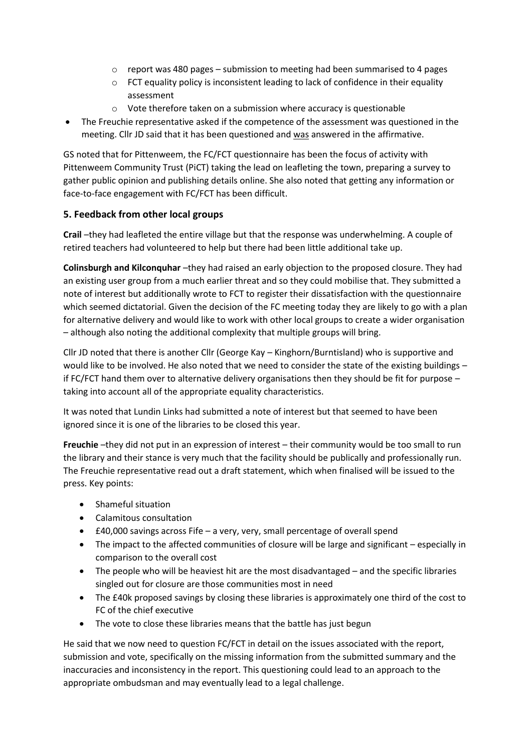- $\circ$  report was 480 pages submission to meeting had been summarised to 4 pages
- o FCT equality policy is inconsistent leading to lack of confidence in their equality assessment
- o Vote therefore taken on a submission where accuracy is questionable
- The Freuchie representative asked if the competence of the assessment was questioned in the meeting. Cllr JD said that it has been questioned and was answered in the affirmative.

GS noted that for Pittenweem, the FC/FCT questionnaire has been the focus of activity with Pittenweem Community Trust (PiCT) taking the lead on leafleting the town, preparing a survey to gather public opinion and publishing details online. She also noted that getting any information or face-to-face engagement with FC/FCT has been difficult.

## **5. Feedback from other local groups**

**Crail** –they had leafleted the entire village but that the response was underwhelming. A couple of retired teachers had volunteered to help but there had been little additional take up.

**Colinsburgh and Kilconquhar** –they had raised an early objection to the proposed closure. They had an existing user group from a much earlier threat and so they could mobilise that. They submitted a note of interest but additionally wrote to FCT to register their dissatisfaction with the questionnaire which seemed dictatorial. Given the decision of the FC meeting today they are likely to go with a plan for alternative delivery and would like to work with other local groups to create a wider organisation – although also noting the additional complexity that multiple groups will bring.

Cllr JD noted that there is another Cllr (George Kay – Kinghorn/Burntisland) who is supportive and would like to be involved. He also noted that we need to consider the state of the existing buildings – if FC/FCT hand them over to alternative delivery organisations then they should be fit for purpose – taking into account all of the appropriate equality characteristics.

It was noted that Lundin Links had submitted a note of interest but that seemed to have been ignored since it is one of the libraries to be closed this year.

**Freuchie** –they did not put in an expression of interest – their community would be too small to run the library and their stance is very much that the facility should be publically and professionally run. The Freuchie representative read out a draft statement, which when finalised will be issued to the press. Key points:

- Shameful situation
- Calamitous consultation
- £40,000 savings across Fife a very, very, small percentage of overall spend
- The impact to the affected communities of closure will be large and significant especially in comparison to the overall cost
- The people who will be heaviest hit are the most disadvantaged and the specific libraries singled out for closure are those communities most in need
- The £40k proposed savings by closing these libraries is approximately one third of the cost to FC of the chief executive
- The vote to close these libraries means that the battle has just begun

He said that we now need to question FC/FCT in detail on the issues associated with the report, submission and vote, specifically on the missing information from the submitted summary and the inaccuracies and inconsistency in the report. This questioning could lead to an approach to the appropriate ombudsman and may eventually lead to a legal challenge.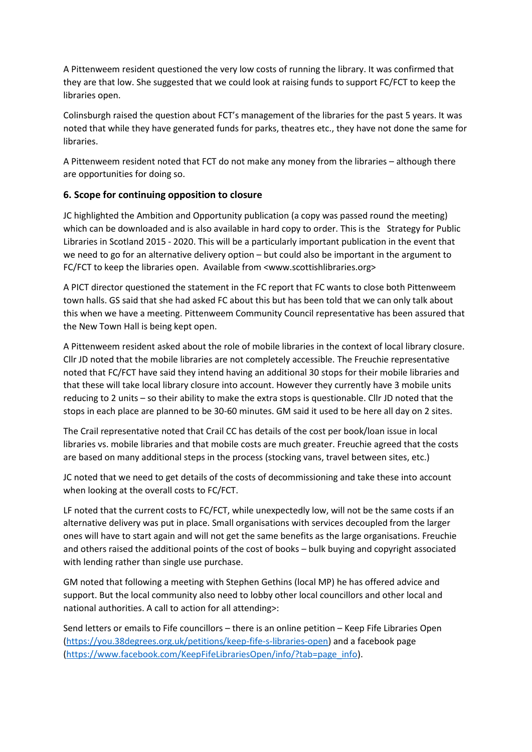A Pittenweem resident questioned the very low costs of running the library. It was confirmed that they are that low. She suggested that we could look at raising funds to support FC/FCT to keep the libraries open.

Colinsburgh raised the question about FCT's management of the libraries for the past 5 years. It was noted that while they have generated funds for parks, theatres etc., they have not done the same for libraries.

A Pittenweem resident noted that FCT do not make any money from the libraries – although there are opportunities for doing so.

## **6. Scope for continuing opposition to closure**

JC highlighted the Ambition and Opportunity publication (a copy was passed round the meeting) which can be downloaded and is also available in hard copy to order. This is the Strategy for Public Libraries in Scotland 2015 - 2020. This will be a particularly important publication in the event that we need to go for an alternative delivery option – but could also be important in the argument to FC/FCT to keep the libraries open. Available from <www.scottishlibraries.org>

A PICT director questioned the statement in the FC report that FC wants to close both Pittenweem town halls. GS said that she had asked FC about this but has been told that we can only talk about this when we have a meeting. Pittenweem Community Council representative has been assured that the New Town Hall is being kept open.

A Pittenweem resident asked about the role of mobile libraries in the context of local library closure. Cllr JD noted that the mobile libraries are not completely accessible. The Freuchie representative noted that FC/FCT have said they intend having an additional 30 stops for their mobile libraries and that these will take local library closure into account. However they currently have 3 mobile units reducing to 2 units – so their ability to make the extra stops is questionable. Cllr JD noted that the stops in each place are planned to be 30-60 minutes. GM said it used to be here all day on 2 sites.

The Crail representative noted that Crail CC has details of the cost per book/loan issue in local libraries vs. mobile libraries and that mobile costs are much greater. Freuchie agreed that the costs are based on many additional steps in the process (stocking vans, travel between sites, etc.)

JC noted that we need to get details of the costs of decommissioning and take these into account when looking at the overall costs to FC/FCT.

LF noted that the current costs to FC/FCT, while unexpectedly low, will not be the same costs if an alternative delivery was put in place. Small organisations with services decoupled from the larger ones will have to start again and will not get the same benefits as the large organisations. Freuchie and others raised the additional points of the cost of books – bulk buying and copyright associated with lending rather than single use purchase.

GM noted that following a meeting with Stephen Gethins (local MP) he has offered advice and support. But the local community also need to lobby other local councillors and other local and national authorities. A call to action for all attending>:

Send letters or emails to Fife councillors – there is an online petition – Keep Fife Libraries Open [\(https://you.38degrees.org.uk/petitions/keep-fife-s-libraries-open\)](https://you.38degrees.org.uk/petitions/keep-fife-s-libraries-open) and a facebook page [\(https://www.facebook.com/KeepFifeLibrariesOpen/info/?tab=page\\_info\)](https://www.facebook.com/KeepFifeLibrariesOpen/info/?tab=page_info).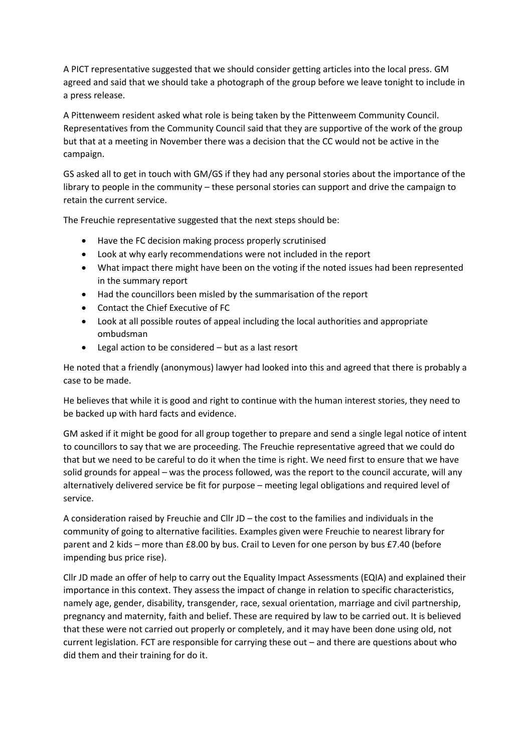A PICT representative suggested that we should consider getting articles into the local press. GM agreed and said that we should take a photograph of the group before we leave tonight to include in a press release.

A Pittenweem resident asked what role is being taken by the Pittenweem Community Council. Representatives from the Community Council said that they are supportive of the work of the group but that at a meeting in November there was a decision that the CC would not be active in the campaign.

GS asked all to get in touch with GM/GS if they had any personal stories about the importance of the library to people in the community – these personal stories can support and drive the campaign to retain the current service.

The Freuchie representative suggested that the next steps should be:

- Have the FC decision making process properly scrutinised
- Look at why early recommendations were not included in the report
- What impact there might have been on the voting if the noted issues had been represented in the summary report
- Had the councillors been misled by the summarisation of the report
- Contact the Chief Executive of FC
- Look at all possible routes of appeal including the local authorities and appropriate ombudsman
- Legal action to be considered but as a last resort

He noted that a friendly (anonymous) lawyer had looked into this and agreed that there is probably a case to be made.

He believes that while it is good and right to continue with the human interest stories, they need to be backed up with hard facts and evidence.

GM asked if it might be good for all group together to prepare and send a single legal notice of intent to councillors to say that we are proceeding. The Freuchie representative agreed that we could do that but we need to be careful to do it when the time is right. We need first to ensure that we have solid grounds for appeal – was the process followed, was the report to the council accurate, will any alternatively delivered service be fit for purpose – meeting legal obligations and required level of service.

A consideration raised by Freuchie and Cllr JD – the cost to the families and individuals in the community of going to alternative facilities. Examples given were Freuchie to nearest library for parent and 2 kids – more than £8.00 by bus. Crail to Leven for one person by bus £7.40 (before impending bus price rise).

Cllr JD made an offer of help to carry out the Equality Impact Assessments (EQIA) and explained their importance in this context. They assess the impact of change in relation to specific characteristics, namely age, gender, disability, transgender, race, sexual orientation, marriage and civil partnership, pregnancy and maternity, faith and belief. These are required by law to be carried out. It is believed that these were not carried out properly or completely, and it may have been done using old, not current legislation. FCT are responsible for carrying these out – and there are questions about who did them and their training for do it.